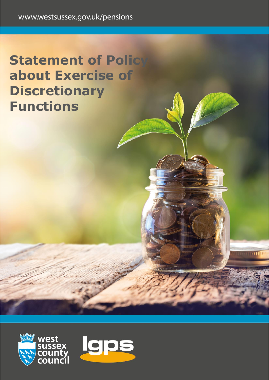## **Statement of Policy about Exercise of Discretionary Functions**



ma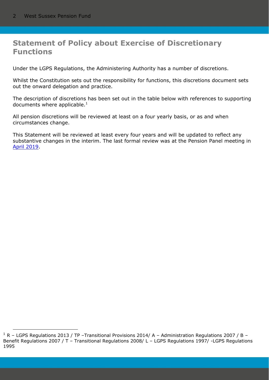## **Statement of Policy about Exercise of Discretionary Functions**

Under the LGPS Regulations, the Administering Authority has a number of discretions.

Whilst the Constitution sets out the responsibility for functions, this discretions document sets out the onward delegation and practice.

The description of discretions has been set out in the table below with references to supporting documents where applicable. $<sup>1</sup>$ </sup>

All pension discretions will be reviewed at least on a four yearly basis, or as and when circumstances change.

This Statement will be reviewed at least every four years and will be updated to reflect any substantive changes in the interim. The last formal review was at the Pension Panel meeting in [April 2019.](https://westsussex.moderngov.co.uk/ieListDocuments.aspx?CId=170&MId=2048&Ver=4)

 $1 R$  – LGPS Regulations 2013 / TP –Transitional Provisions 2014/ A – Administration Regulations 2007 / B – Benefit Regulations 2007 / T – Transitional Regulations 2008/ L – LGPS Regulations 1997/ -LGPS Regulations 1995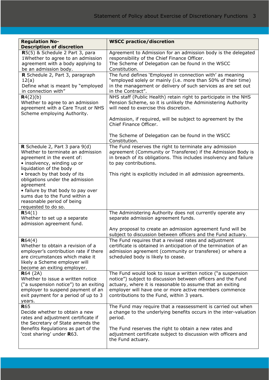| <b>Regulation No-</b><br><b>Description of discretion</b>              | <b>WSCC practice/discretion</b>                                                                                           |
|------------------------------------------------------------------------|---------------------------------------------------------------------------------------------------------------------------|
| R5(5) & Schedule 2 Part 3, para                                        | Agreement to Admission for an admission body is the delegated                                                             |
| 1Whether to agree to an admission                                      | responsibility of the Chief Finance Officer.                                                                              |
| agreement with a body applying to                                      | The Scheme of Delegation can be found in the WSCC                                                                         |
| be an admission body.                                                  | Constitution.                                                                                                             |
| R Schedule 2, Part 3, paragraph                                        | The fund defines 'Employed in connection with' as meaning                                                                 |
| 12(a)                                                                  | "employed solely or mainly (i.e. more than 50% of their time)                                                             |
| Define what is meant by "employed                                      | in the management or delivery of such services as are set out                                                             |
| in connection with"                                                    | in the Contract".                                                                                                         |
| R4(2)(b)                                                               | NHS staff (Public Health) retain right to participate in the NHS                                                          |
| Whether to agree to an admission<br>agreement with a Care Trust or NHS | Pension Scheme, so it is unlikely the Administering Authority<br>will need to exercise this discretion.                   |
| Scheme employing Authority.                                            |                                                                                                                           |
|                                                                        | Admission, if required, will be subject to agreement by the                                                               |
|                                                                        | Chief Finance Officer.                                                                                                    |
|                                                                        |                                                                                                                           |
|                                                                        | The Scheme of Delegation can be found in the WSCC                                                                         |
|                                                                        | Constitution.                                                                                                             |
| R Schedule 2, Part 3 para 9(d)                                         | The Fund reserves the right to terminate any admission                                                                    |
| Whether to terminate an admission                                      | agreement (Community or Transferee) if the Admission Body is                                                              |
| agreement in the event of:                                             | in breach of its obligations. This includes insolvency and failure                                                        |
| • insolvency, winding up or                                            | to pay contributions.                                                                                                     |
| liquidation of the body                                                |                                                                                                                           |
| • breach by that body of its<br>obligations under the admission        | This right is explicitly included in all admission agreements.                                                            |
| agreement                                                              |                                                                                                                           |
| • failure by that body to pay over                                     |                                                                                                                           |
| sums due to the Fund within a                                          |                                                                                                                           |
| reasonable period of being                                             |                                                                                                                           |
| requested to do so.                                                    |                                                                                                                           |
| R54(1)                                                                 | The Administering Authority does not currently operate any                                                                |
| Whether to set up a separate                                           | separate admission agreement funds.                                                                                       |
| admission agreement fund.                                              |                                                                                                                           |
|                                                                        | Any proposal to create an admission agreement fund will be                                                                |
|                                                                        | subject to discussion between officers and the Fund actuary.                                                              |
| R64(4)<br>Whether to obtain a revision of a                            | The Fund requires that a revised rates and adjustment<br>certificate is obtained in anticipation of the termination of an |
| employer's contribution rate if there                                  | admission agreement (community or transferee) or where a                                                                  |
| are circumstances which make it                                        | scheduled body is likely to cease.                                                                                        |
| likely a Scheme employer will                                          |                                                                                                                           |
| become an exiting employer.                                            |                                                                                                                           |
| R64 (2A)                                                               | The Fund would look to issue a written notice ("a suspension                                                              |
| Whether to issue a written notice                                      | notice") subject to discussion between officers and the Fund                                                              |
| ("a suspension notice") to an exiting                                  | actuary, where it is reasonable to assume that an exiting                                                                 |
| employer to suspend payment of an                                      | employer will have one or more active members commence                                                                    |
| exit payment for a period of up to 3                                   | contributions to the Fund, within 3 years.                                                                                |
| years.<br><b>R</b> 65                                                  | The Fund may require that a reassessment is carried out when                                                              |
| Decide whether to obtain a new                                         | a change to the underlying benefits occurs in the inter-valuation                                                         |
| rates and adjustment certificate if                                    | period.                                                                                                                   |
| the Secretary of State amends the                                      |                                                                                                                           |
| Benefits Regulations as part of the                                    | The Fund reserves the right to obtain a new rates and                                                                     |
| 'cost sharing' under <b>R</b> 63.                                      | adjustment certificate subject to discussion with officers and                                                            |
|                                                                        | the Fund actuary.                                                                                                         |
|                                                                        |                                                                                                                           |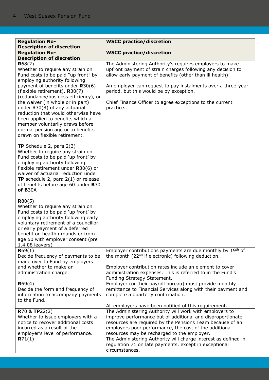| <b>Regulation No-</b>                                                                                                                                                                                                                                                                                                           | <b>WSCC practice/discretion</b>                                                                                                                                                     |
|---------------------------------------------------------------------------------------------------------------------------------------------------------------------------------------------------------------------------------------------------------------------------------------------------------------------------------|-------------------------------------------------------------------------------------------------------------------------------------------------------------------------------------|
| <b>Description of discretion</b>                                                                                                                                                                                                                                                                                                |                                                                                                                                                                                     |
| <b>Regulation No-</b>                                                                                                                                                                                                                                                                                                           | <b>WSCC practice/discretion</b>                                                                                                                                                     |
| <b>Description of discretion</b>                                                                                                                                                                                                                                                                                                |                                                                                                                                                                                     |
| R68(2)<br>Whether to require any strain on<br>Fund costs to be paid "up front" by<br>employing authority following                                                                                                                                                                                                              | The Administering Authority's requires employers to make<br>upfront payment of strain charges following any decision to<br>allow early payment of benefits (other than ill health). |
| payment of benefits under $R30(6)$<br>(flexible retirement). $R30(7)$<br>(redundancy/business efficiency), or                                                                                                                                                                                                                   | An employer can request to pay instalments over a three-year<br>period, but this would be by exception.                                                                             |
| the waiver (in whole or in part)<br>under R30(8) of any actuarial<br>reduction that would otherwise have<br>been applied to benefits which a<br>member voluntarily draws before<br>normal pension age or to benefits<br>drawn on flexible retirement.                                                                           | Chief Finance Officer to agree exceptions to the current<br>practice.                                                                                                               |
| <b>TP</b> Schedule 2, para $2(3)$<br>Whether to require any strain on<br>Fund costs to be paid 'up front' by<br>employing authority following<br>flexible retirement under $R30(6)$ or<br>waiver of actuarial reduction under<br><b>TP</b> schedule 2, para $2(1)$ or release<br>of benefits before age 60 under B30<br>of B30A |                                                                                                                                                                                     |
| R80(5)<br>Whether to require any strain on<br>Fund costs to be paid 'up front' by<br>employing authority following early<br>voluntary retirement of a councillor,<br>or early payment of a deferred<br>benefit on health grounds or from<br>age 50 with employer consent (pre<br>1.4.08 leavers)                                |                                                                                                                                                                                     |
| R69(1)<br>Decide frequency of payments to be<br>made over to Fund by employers                                                                                                                                                                                                                                                  | Employer contributions payments are due monthly by 19th of<br>the month (22 <sup>nd</sup> if electronic) following deduction.                                                       |
| and whether to make an<br>administration charge                                                                                                                                                                                                                                                                                 | Employer contribution rates include an element to cover<br>administration expenses. This is referred to in the Fund's<br>Funding Strategy Statement.                                |
| R69(4)<br>Decide the form and frequency of<br>information to accompany payments<br>to the Fund.                                                                                                                                                                                                                                 | Employer (or their payroll bureau) must provide monthly<br>remittance to Financial Services along with their payment and<br>complete a quarterly confirmation.                      |
|                                                                                                                                                                                                                                                                                                                                 | All employers have been notified of this requirement.                                                                                                                               |
| <b>R70 &amp; TP22(2)</b>                                                                                                                                                                                                                                                                                                        | The Administering Authority will work with employers to                                                                                                                             |
| Whether to issue employers with a                                                                                                                                                                                                                                                                                               | improve performance but of additional and disproportionate                                                                                                                          |
| notice to recover additional costs                                                                                                                                                                                                                                                                                              | resources are required by the Pensions Team because of an                                                                                                                           |
| incurred as a result of the                                                                                                                                                                                                                                                                                                     | employers poor performance, the cost of the additional                                                                                                                              |
| employer's level of performance.<br>R71(1)                                                                                                                                                                                                                                                                                      | resources may be recharged to the employer.<br>The Administering Authority will charge interest as defined in                                                                       |
|                                                                                                                                                                                                                                                                                                                                 | regulation 71 on late payments, except in exceptional                                                                                                                               |
|                                                                                                                                                                                                                                                                                                                                 | circumstances.                                                                                                                                                                      |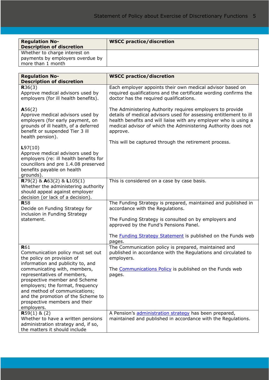| <b>Regulation No-</b>            | <b>WSCC practice/discretion</b> |
|----------------------------------|---------------------------------|
| <b>Description of discretion</b> |                                 |
| Whether to charge interest on    |                                 |
| payments by employers overdue by |                                 |
| more than 1 month                |                                 |

| <b>Regulation No-</b>                                                                                                                                                                                                                                                                       | <b>WSCC practice/discretion</b>                                                                                                                                                                                                                                                 |
|---------------------------------------------------------------------------------------------------------------------------------------------------------------------------------------------------------------------------------------------------------------------------------------------|---------------------------------------------------------------------------------------------------------------------------------------------------------------------------------------------------------------------------------------------------------------------------------|
| <b>Description of discretion</b><br>R36(3)<br>Approve medical advisors used by<br>employers (for ill health benefits).                                                                                                                                                                      | Each employer appoints their own medical advisor based on<br>required qualifications and the certificate wording confirms the<br>doctor has the required qualifications.                                                                                                        |
| A56(2)<br>Approve medical advisors used by<br>employers (for early payment, on<br>grounds of ill health, of a deferred<br>benefit or suspended Tier 3 ill<br>health pension).                                                                                                               | The Administering Authority requires employers to provide<br>details of medical advisors used for assessing entitlement to ill<br>health benefits and will liaise with any employer who is using a<br>medical advisor of which the Administering Authority does not<br>approve. |
| L97(10)                                                                                                                                                                                                                                                                                     | This will be captured through the retirement process.                                                                                                                                                                                                                           |
| Approve medical advisors used by<br>employers (re: ill health benefits for<br>councillors and pre 1.4.08 preserved<br>benefits payable on health<br>grounds).                                                                                                                               |                                                                                                                                                                                                                                                                                 |
| R79(2) & A63(2) & L105(1)<br>Whether the administering authority<br>should appeal against employer<br>decision (or lack of a decision).                                                                                                                                                     | This is considered on a case by case basis.                                                                                                                                                                                                                                     |
| <b>R58</b><br>Decide on Funding Strategy for<br>inclusion in Funding Strategy                                                                                                                                                                                                               | The Funding Strategy is prepared, maintained and published in<br>accordance with the Regulations.                                                                                                                                                                               |
| statement.                                                                                                                                                                                                                                                                                  | The Funding Strategy is consulted on by employers and<br>approved by the Fund's Pensions Panel.                                                                                                                                                                                 |
|                                                                                                                                                                                                                                                                                             | The <b>Funding Strategy Statement</b> is published on the Funds web<br>pages.                                                                                                                                                                                                   |
| <b>R</b> 61<br>Communication policy must set out<br>the policy on provision of                                                                                                                                                                                                              | The Communication policy is prepared, maintained and<br>published in accordance with the Regulations and circulated to<br>employers.                                                                                                                                            |
| information and publicity to, and<br>communicating with, members,<br>representatives of members,<br>prospective member and Scheme<br>employers; the format, frequency<br>and method of communications;<br>and the promotion of the Scheme to<br>prospective members and their<br>employers. | The Communications Policy is published on the Funds web<br>pages.                                                                                                                                                                                                               |
| $R59(1)$ & (2)<br>Whether to have a written pensions<br>administration strategy and, if so,<br>the matters it should include                                                                                                                                                                | A Pension's administration strategy has been prepared,<br>maintained and published in accordance with the Regulations.                                                                                                                                                          |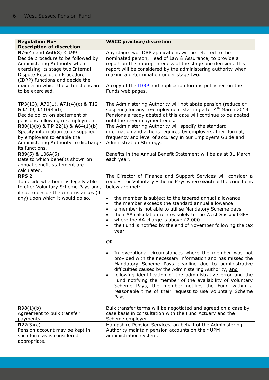| <b>Regulation No-</b>                                                                                                                                                                                                                                                                          | <b>WSCC practice/discretion</b>                                                                                                                                                                                                                                                                                                                                                                                                                                                                                                                                                                                                                                                                                                                                                                                                                                                                                                                                                                                                                                                                                         |
|------------------------------------------------------------------------------------------------------------------------------------------------------------------------------------------------------------------------------------------------------------------------------------------------|-------------------------------------------------------------------------------------------------------------------------------------------------------------------------------------------------------------------------------------------------------------------------------------------------------------------------------------------------------------------------------------------------------------------------------------------------------------------------------------------------------------------------------------------------------------------------------------------------------------------------------------------------------------------------------------------------------------------------------------------------------------------------------------------------------------------------------------------------------------------------------------------------------------------------------------------------------------------------------------------------------------------------------------------------------------------------------------------------------------------------|
| <b>Description of discretion</b>                                                                                                                                                                                                                                                               |                                                                                                                                                                                                                                                                                                                                                                                                                                                                                                                                                                                                                                                                                                                                                                                                                                                                                                                                                                                                                                                                                                                         |
| R76(4) and A60(8) & L99<br>Decide procedure to be followed by<br>Administering Authority when<br>exercising its stage two Internal<br><b>Dispute Resolution Procedure</b><br>(IDRP) functions and decide the<br>manner in which those functions are<br>to be exercised.                        | Any stage two IDRP applications will be referred to the<br>nominated person, Head of Law & Assurance, to provide a<br>report on the appropriateness of the stage one decision. This<br>report will be considered by the administering authority when<br>making a determination under stage two.<br>A copy of the <b>IDRP</b> and application form is published on the<br>Funds web pages.                                                                                                                                                                                                                                                                                                                                                                                                                                                                                                                                                                                                                                                                                                                               |
| TP3(13), A70(1), A71(4)(c) & T12<br>& L109, L110(4)(b)<br>Decide policy on abatement of<br>pensions following re-employment.<br>R80(1)(b) & TP 22(1) & A64(1)(b)<br>Specify information to be supplied<br>by employers to enable the<br>Administering Authority to discharge<br>its functions. | The Administering Authority will not abate pension (reduce or<br>suspend) for any re-employment starting after 4 <sup>th</sup> March 2019.<br>Pensions already abated at this date will continue to be abated<br>until the re-employment ends.<br>The Administering Authority will specify the standard<br>information and actions required by employers, their format,<br>frequency and level of accuracy in our Employer's Guide and<br>Administration Strategy.                                                                                                                                                                                                                                                                                                                                                                                                                                                                                                                                                                                                                                                      |
| $R89(5)$ & 106A(5)<br>Date to which benefits shown on<br>annual benefit statement are<br>calculated.                                                                                                                                                                                           | Benefits in the Annual Benefit Statement will be as at 31 March<br>each year.                                                                                                                                                                                                                                                                                                                                                                                                                                                                                                                                                                                                                                                                                                                                                                                                                                                                                                                                                                                                                                           |
| <b>RPS 2</b><br>To decide whether it is legally able<br>to offer Voluntary Scheme Pays and,<br>if so, to decide the circumstances (if<br>any) upon which it would do so.                                                                                                                       | The Director of Finance and Support Services will consider a<br>request for Voluntary Scheme Pays where each of the conditions<br>below are met:<br>the member is subject to the tapered annual allowance<br>$\bullet$<br>the member exceeds the standard annual allowance<br>$\bullet$<br>a member is not able to utilise Mandatory Scheme pays<br>$\bullet$<br>their AA calculation relates solely to the West Sussex LGPS<br>$\bullet$<br>where the AA charge is above £2,000<br>$\bullet$<br>the Fund is notified by the end of November following the tax<br>$\bullet$<br>year.<br>OR<br>In exceptional circumstances where the member was not<br>$\bullet$<br>provided with the necessary information and has missed the<br>Mandatory Scheme Pays deadline due to administrative<br>difficulties caused by the Administering Authority, and<br>following identification of the administrative error and the<br>$\bullet$<br>Fund notifying the member of the availability of Voluntary<br>Scheme Pays, the member notifies the Fund within a<br>reasonable time of their request to use Voluntary Scheme<br>Pays. |
| R98(1)(b)<br>Agreement to bulk transfer<br>payments.                                                                                                                                                                                                                                           | Bulk transfer terms will be negotiated and agreed on a case by<br>case basis in consultation with the Fund Actuary and the<br>Scheme employer.                                                                                                                                                                                                                                                                                                                                                                                                                                                                                                                                                                                                                                                                                                                                                                                                                                                                                                                                                                          |
| R22(3)(c)<br>Pension account may be kept in<br>such form as is considered<br>appropriate.                                                                                                                                                                                                      | Hampshire Pension Services, on behalf of the Administering<br>Authority maintain pension accounts on their UPM<br>administration system.                                                                                                                                                                                                                                                                                                                                                                                                                                                                                                                                                                                                                                                                                                                                                                                                                                                                                                                                                                                |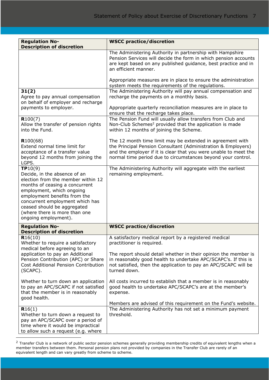| <b>Regulation No-</b>                                                                                                                                                                                                                                                                                   | <b>WSCC practice/discretion</b>                                                                                                                                                                                                                                |
|---------------------------------------------------------------------------------------------------------------------------------------------------------------------------------------------------------------------------------------------------------------------------------------------------------|----------------------------------------------------------------------------------------------------------------------------------------------------------------------------------------------------------------------------------------------------------------|
| <b>Description of discretion</b>                                                                                                                                                                                                                                                                        |                                                                                                                                                                                                                                                                |
|                                                                                                                                                                                                                                                                                                         | The Administering Authority in partnership with Hampshire<br>Pension Services will decide the form in which pension accounts<br>are kept based on any published guidance, best practice and in<br>an efficient manner.                                         |
|                                                                                                                                                                                                                                                                                                         | Appropriate measures are in place to ensure the administration<br>system meets the requirements of the regulations.                                                                                                                                            |
| 31(2)<br>Agree to pay annual compensation<br>on behalf of employer and recharge                                                                                                                                                                                                                         | The Administering Authority will pay annual compensation and<br>recharge the payments on a monthly basis.                                                                                                                                                      |
| payments to employer.                                                                                                                                                                                                                                                                                   | Appropriate quarterly reconciliation measures are in place to<br>ensure that the recharge takes place.                                                                                                                                                         |
| R100(7)<br>Allow the transfer of pension rights<br>into the Fund.                                                                                                                                                                                                                                       | The Pension Fund will usually allow transfers from Club and<br>Non-Club Schemes <sup>2</sup> provided that the application is made<br>within 12 months of joining the Scheme.                                                                                  |
| R100(68)<br>Extend normal time limit for<br>acceptance of a transfer value<br>beyond 12 months from joining the<br>LGPS.                                                                                                                                                                                | The 12 month time limit may be extended in agreement with<br>the Principal Pension Consultant (Administration & Employers)<br>and the employer if it is clear that you were unable to meet the<br>normal time period due to circumstances beyond your control. |
| TP10(9)<br>Decide, in the absence of an<br>election from the member within 12<br>months of ceasing a concurrent<br>employment, which ongoing<br>employment benefits from the<br>concurrent employment which has<br>ceased should be aggregated<br>(where there is more than one<br>ongoing employment). | The Administering Authority will aggregate with the earliest<br>remaining employment.                                                                                                                                                                          |
| <b>Regulation No-</b><br><b>Description of discretion</b>                                                                                                                                                                                                                                               | <b>WSCC practice/discretion</b>                                                                                                                                                                                                                                |
| R16(10)<br>Whether to require a satisfactory<br>medical before agreeing to an                                                                                                                                                                                                                           | A satisfactory medical report by a registered medical<br>practitioner is required.                                                                                                                                                                             |
| application to pay an Additional<br>Pension Contribution (APC) or Share<br>Cost Additional Pension Contribution<br>(SCAPC).                                                                                                                                                                             | The report should detail whether in their opinion the member is<br>in reasonably good health to undertake APC/SCAPC's. If this is<br>not satisfied, then the application to pay an APC/SCAPC will be<br>turned down.                                           |
| Whether to turn down an application<br>to pay an APC/SCAPC if not satisfied<br>that the member is in reasonably<br>good health.                                                                                                                                                                         | All costs incurred to establish that a member is in reasonably<br>good health to undertake APC/SCAPC's are at the member's<br>expense.                                                                                                                         |
|                                                                                                                                                                                                                                                                                                         | Members are advised of this requirement on the Fund's website.                                                                                                                                                                                                 |
| R16(1)<br>Whether to turn down a request to<br>pay an APC/SCAPC over a period of<br>time where it would be impractical<br>to allow such a request (e.g. where                                                                                                                                           | The Administering Authority has not set a minimum payment<br>threshold.                                                                                                                                                                                        |

 $^2$  Transfer Club is a network of public sector pension schemes generally providing membership credits of equivalent lengths when a member transfers between them. Personal pension plans not provided by companies in the Transfer Club are rarely of an equivalent length and can vary greatly from scheme to scheme.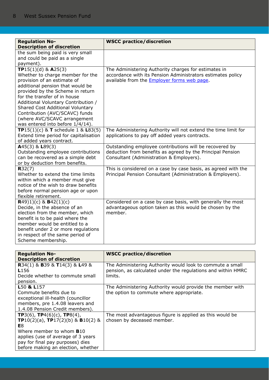| <b>Regulation No-</b>                             | <b>WSCC practice/discretion</b>                                |
|---------------------------------------------------|----------------------------------------------------------------|
| <b>Description of discretion</b>                  |                                                                |
| the sum being paid is very small                  |                                                                |
| and could be paid as a single                     |                                                                |
| payment).                                         |                                                                |
| <b>TP</b> 15(1)(d) & $A25(3)$                     | The Administering Authority charges for estimates in           |
| Whether to charge member for the                  | accordance with its Pension Administrators estimates policy    |
| provision of an estimate of                       | available from the <b>Employer forms web page</b> .            |
| additional pension that would be                  |                                                                |
| provided by the Scheme in return                  |                                                                |
| for the transfer of in house                      |                                                                |
| Additional Voluntary Contribution /               |                                                                |
| Shared Cost Additional Voluntary                  |                                                                |
| Contribution (AVC/SCAVC) funds                    |                                                                |
| (where AVC/SCAVC arrangement                      |                                                                |
| was entered into before 1/4/14).                  |                                                                |
| <b>TP</b> 15(1)(c) & <b>T</b> schedule 1 & L83(5) | The Administering Authority will not extend the time limit for |
| Extend time period for capitalisation             | applications to pay off added years contracts.                 |
| of added years contract.                          |                                                                |
| $A45(3)$ & L89(3)                                 | Outstanding employee contributions will be recovered by        |
| Outstanding employee contributions                | deduction from benefits as agreed by the Principal Pension     |
| can be recovered as a simple debt                 | Consultant (Administration & Employers).                       |
| or by deduction from benefits.                    |                                                                |
| R32(7)                                            | This is considered on a case by case basis, as agreed with the |
| Whether to extend the time limits                 | Principal Pension Consultant (Administration & Employers).     |
| within which a member must give                   |                                                                |
| notice of the wish to draw benefits               |                                                                |
| before normal pension age or upon                 |                                                                |
| flexible retirement.                              |                                                                |
| $R(49)1)(c)$ & $B(42(1)(c))$                      | Considered on a case by case basis, with generally the most    |
| Decide, in the absence of an                      | advantageous option taken as this would be chosen by the       |
| election from the member, which                   | member.                                                        |
| benefit is to be paid where the                   |                                                                |
| member would be entitled to a                     |                                                                |
| benefit under 2 or more regulations               |                                                                |
| in respect of the same period of                  |                                                                |
| Scheme membership.                                |                                                                |

| <b>Regulation No-</b>                                         | <b>WSCC practice/discretion</b>                              |
|---------------------------------------------------------------|--------------------------------------------------------------|
| <b>Description of discretion</b>                              |                                                              |
| <b>R</b> 34(1) & <b>B</b> 39 & <b>T</b> 14(3) & <b>L</b> 49 & | The Administering Authority would look to commute a small    |
| L <sub>156</sub>                                              | pension, as calculated under the regulations and within HMRC |
| Decide whether to commute small                               | limits.                                                      |
| pension.                                                      |                                                              |
| L <sub>50</sub> & L <sub>157</sub>                            | The Administering Authority would provide the member with    |
| Commute benefits due to                                       | the option to commute where appropriate.                     |
| exceptional ill-health (councillor                            |                                                              |
| members, pre 1.4.08 leavers and                               |                                                              |
| 1.4.08 Pension Credit members).                               |                                                              |
| <b>TP</b> 3(6), <b>TP</b> 4(6)(c), <b>TP</b> 8(4),            | The most advantageous figure is applied as this would be     |
| <b>TP</b> 10(2)(a), <b>TP</b> 17(2)(b) & <b>B</b> 10(2) &     | chosen by deceased member.                                   |
| E8.                                                           |                                                              |
| Where member to whom $B10$                                    |                                                              |
| applies (use of average of 3 years                            |                                                              |
| pay for final pay purposes) dies                              |                                                              |
| before making an election, whether                            |                                                              |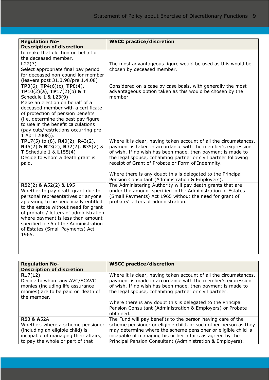| <b>Regulation No-</b><br><b>Description of discretion</b>                                                                                                                                                                                                                                                                                                                            | <b>WSCC practice/discretion</b>                                                                                                                                                                                                                                                                                                                                                                                                           |
|--------------------------------------------------------------------------------------------------------------------------------------------------------------------------------------------------------------------------------------------------------------------------------------------------------------------------------------------------------------------------------------|-------------------------------------------------------------------------------------------------------------------------------------------------------------------------------------------------------------------------------------------------------------------------------------------------------------------------------------------------------------------------------------------------------------------------------------------|
| to make that election on behalf of<br>the deceased member.                                                                                                                                                                                                                                                                                                                           |                                                                                                                                                                                                                                                                                                                                                                                                                                           |
| L22(7)<br>Select appropriate final pay period<br>for deceased non-councillor member<br>(leavers post 31.3.98/pre 1.4.08)                                                                                                                                                                                                                                                             | The most advantageous figure would be used as this would be<br>chosen by deceased member.                                                                                                                                                                                                                                                                                                                                                 |
| <b>TP</b> 3(6), <b>TP</b> 4(6)(c), <b>TP</b> 8(4),<br><b>TP</b> 10(2)(a), <b>TP</b> 17(2)(b) & <b>T</b><br>Schedule 1 & L23(9)<br>Make an election on behalf of a<br>deceased member with a certificate<br>of protection of pension benefits<br>(i.e. determine the best pay figure<br>to use in the benefit calculations<br>(pay cuts/restrictions occurring pre<br>1 April 2008)). | Considered on a case by case basis, with generally the most<br>advantageous option taken as this would be chosen by the<br>member.                                                                                                                                                                                                                                                                                                        |
| TP17(5) to (8), R40(2), R43(2),<br>R46(2) & B23(2), B32(2), B35(2) &<br><b>T</b> Schedule $1 < L155(4)$<br>Decide to whom a death grant is<br>paid.                                                                                                                                                                                                                                  | Where it is clear, having taken account of all the circumstances,<br>payment is taken in accordance with the member's expression<br>of wish. If no wish has been made, then payment is made to<br>the legal spouse, cohabiting partner or civil partner following<br>receipt of Grant of Probate or Form of Indemnity.<br>Where there is any doubt this is delegated to the Principal<br>Pension Consultant (Administration & Employers). |
| R82(2) & A52(2) & L95<br>Whether to pay death grant due to<br>personal representatives or anyone<br>appearing to be beneficially entitled<br>to the estate without need for grant<br>of probate / letters of administration<br>where payment is less than amount<br>specified in s6 of the Administration<br>of Estates (Small Payments) Act<br>1965.                                | The Administering Authority will pay death grants that are<br>under the amount specified in the Administration of Estates<br>(Small Payments) Act 1965 without the need for grant of<br>probate/ letters of administration.                                                                                                                                                                                                               |

| <b>Regulation No-</b><br><b>Description of discretion</b>                                                                                                                  | <b>WSCC practice/discretion</b>                                                                                                                                                                                                                                                                                                                                                                   |
|----------------------------------------------------------------------------------------------------------------------------------------------------------------------------|---------------------------------------------------------------------------------------------------------------------------------------------------------------------------------------------------------------------------------------------------------------------------------------------------------------------------------------------------------------------------------------------------|
| R17(12)<br>Decide to whom any AVC/SCAVC<br>monies (including life assurance<br>monies) are to be paid on death of<br>the member.                                           | Where it is clear, having taken account of all the circumstances,<br>payment is made in accordance with the member's expression<br>of wish. If no wish has been made, then payment is made to<br>the legal spouse, cohabiting partner or civil partner.<br>Where there is any doubt this is delegated to the Principal<br>Pension Consultant (Administration & Employers) or Probate<br>obtained. |
| <b>R83 &amp; A52A</b><br>Whether, where a scheme pensioner<br>(including an eligible child) is<br>incapable of managing their affairs,<br>to pay the whole or part of that | The Fund will pay benefits to the person having care of the<br>scheme pensioner or eligible child, or such other person as they<br>may determine where the scheme pensioner or eligible child is<br>incapable of managing his or her affairs as agreed by the<br>Principal Pension Consultant (Administration & Employers).                                                                       |